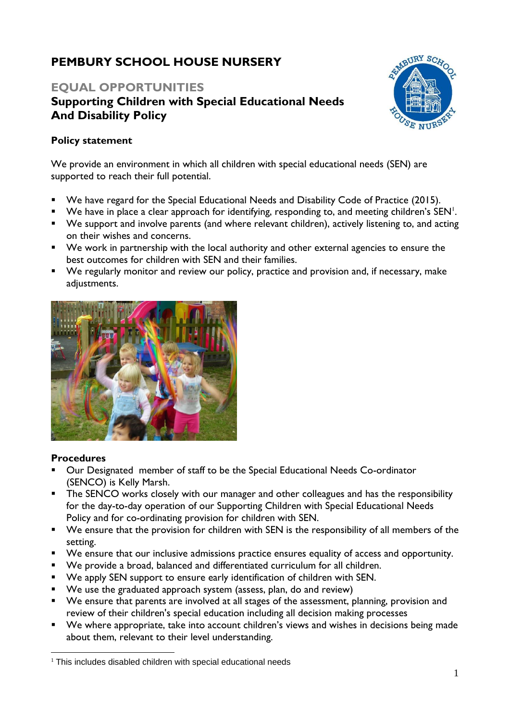# **PEMBURY SCHOOL HOUSE NURSERY**

# **EQUAL OPPORTUNITIES Supporting Children with Special Educational Needs And Disability Policy**



## **Policy statement**

We provide an environment in which all children with special educational needs (SEN) are supported to reach their full potential.

- We have regard for the Special Educational Needs and Disability Code of Practice (2015).
- $\blacksquare$  We have in place a clear approach for identifying, responding to, and meeting children's SEN<sup>1</sup>.
- We support and involve parents (and where relevant children), actively listening to, and acting on their wishes and concerns.
- We work in partnership with the local authority and other external agencies to ensure the best outcomes for children with SEN and their families.
- We regularly monitor and review our policy, practice and provision and, if necessary, make adjustments.



## **Procedures**

- Our Designated member of staff to be the Special Educational Needs Co-ordinator (SENCO) is Kelly Marsh.
- **•** The SENCO works closely with our manager and other colleagues and has the responsibility for the day-to-day operation of our Supporting Children with Special Educational Needs Policy and for co-ordinating provision for children with SEN.
- We ensure that the provision for children with SEN is the responsibility of all members of the setting.
- We ensure that our inclusive admissions practice ensures equality of access and opportunity.
- We provide a broad, balanced and differentiated curriculum for all children.
- We apply SEN support to ensure early identification of children with SEN.
- We use the graduated approach system (assess, plan, do and review)
- We ensure that parents are involved at all stages of the assessment, planning, provision and review of their children's special education including all decision making processes
- We where appropriate, take into account children's views and wishes in decisions being made about them, relevant to their level understanding.

 $1$  This includes disabled children with special educational needs